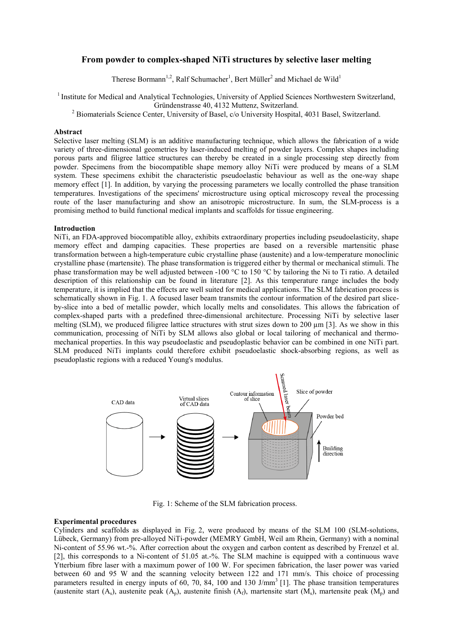# **From powder to complex-shaped NiTi structures by selective laser melting**

Therese Bormann<sup>1,2</sup>, Ralf Schumacher<sup>1</sup>, Bert Müller<sup>2</sup> and Michael de Wild<sup>1</sup>

<sup>1</sup> Institute for Medical and Analytical Technologies, University of Applied Sciences Northwestern Switzerland,<br>Gründenstrasse 40, 4132 Muttenz, Switzerland.

<sup>2</sup> Biomaterials Science Center, University of Basel, c/o University Hospital, 4031 Basel, Switzerland.

#### **Abstract**

Selective laser melting (SLM) is an additive manufacturing technique, which allows the fabrication of a wide variety of three-dimensional geometries by laser-induced melting of powder layers. Complex shapes including porous parts and filigree lattice structures can thereby be created in a single processing step directly from powder. Specimens from the biocompatible shape memory alloy NiTi were produced by means of a SLM system. These specimens exhibit the characteristic pseudoelastic behaviour as well as the one-way shape memory effect [1]. In addition, by varying the processing parameters we locally controlled the phase transition temperatures. Investigations of the specimens' microstructure using optical microscopy reveal the processing route of the laser manufacturing and show an anisotropic microstructure. In sum, the SLM-process is a promising method to build functional medical implants and scaffolds for tissue engineering.

### **Introduction**

NiTi, an FDA-approved biocompatible alloy, exhibits extraordinary properties including pseudoelasticity, shape memory effect and damping capacities. These properties are based on a reversible martensitic phase transformation between a high-temperature cubic crystalline phase (austenite) and a low-temperature monoclinic crystalline phase (martensite). The phase transformation is triggered either by thermal or mechanical stimuli. The phase transformation may be well adjusted between -100 °C to 150 °C by tailoring the Ni to Ti ratio. A detailed description of this relationship can be found in literature [2]. As this temperature range includes the body temperature, it is implied that the effects are well suited for medical applications. The SLM fabrication process is schematically shown in Fig. 1. A focused laser beam transmits the contour information of the desired part sliceby-slice into a bed of metallic powder, which locally melts and consolidates. This allows the fabrication of complex-shaped parts with a predefined three-dimensional architecture. Processing NiTi by selective laser melting (SLM), we produced filigree lattice structures with strut sizes down to 200  $\mu$ m [3]. As we show in this communication, processing of NiTi by SLM allows also global or local tailoring of mechanical and thermomechanical properties. In this way pseudoelastic and pseudoplastic behavior can be combined in one NiTi part. SLM produced NiTi implants could therefore exhibit pseudoelastic shock-absorbing regions, as well as pseudoplastic regions with a reduced Young's modulus.



Fig. 1: Scheme of the SLM fabrication process.

# **Experimental procedures**

Cylinders and scaffolds as displayed in Fig. 2, were produced by means of the SLM 100 (SLM-solutions, Lübeck, Germany) from pre-alloyed NiTi-powder (MEMRY GmbH, Weil am Rhein, Germany) with a nominal Ni-content of 55.96 wt.-%. After correction about the oxygen and carbon content as described by Frenzel et al. [2], this corresponds to a Ni-content of 51.05 at.-%. The SLM machine is equipped with a continuous wave Ytterbium fibre laser with a maximum power of 100 W. For specimen fabrication, the laser power was varied between 60 and 95 W and the scanning velocity between 122 and 171 mm/s. This choice of processing parameters resulted in energy inputs of 60, 70, 84, 100 and 130 J/mm<sup>3</sup> [1]. The phase transition temperatures (austenite start  $(A_s)$ , austenite peak  $(A_n)$ , austenite finish  $(A_f)$ , martensite start  $(M_s)$ , martensite peak  $(M_n)$  and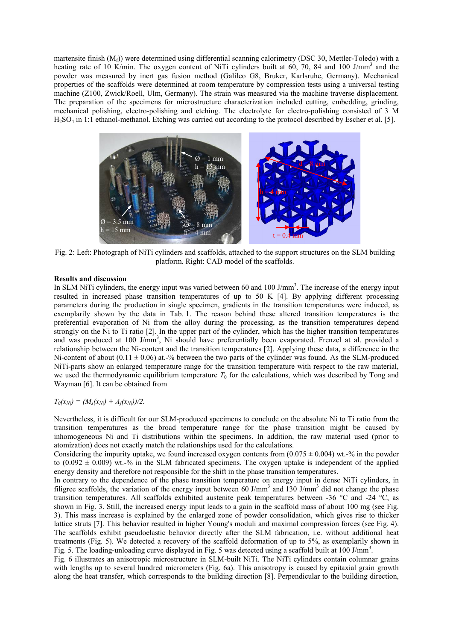martensite finish  $(M_f)$ ) were determined using differential scanning calorimetry (DSC 30, Mettler-Toledo) with a heating rate of 10 K/min. The oxygen content of NiTi cylinders built at 60, 70, 84 and 100 J/mm<sup>3</sup> and the powder was measured by inert gas fusion method (Galileo G8, Bruker, Karlsruhe, Germany). Mechanical properties of the scaffolds were determined at room temperature by compression tests using a universal testing machine (Z100, Zwick/Roell, Ulm, Germany). The strain was measured via the machine traverse displacement. The preparation of the specimens for microstructure characterization included cutting, embedding, grinding, mechanical polishing, electro-polishing and etching. The electrolyte for electro-polishing consisted of 3 M H2SO4 in 1:1 ethanol-methanol. Etching was carried out according to the protocol described by Escher et al. [5].



Fig. 2: Left: Photograph of NiTi cylinders and scaffolds, attached to the support structures on the SLM building platform. Right: CAD model of the scaffolds.

## **Results and discussion**

In SLM NiTi cylinders, the energy input was varied between 60 and 100 J/mm<sup>3</sup>. The increase of the energy input resulted in increased phase transition temperatures of up to 50 K [4]. By applying different processing parameters during the production in single specimen, gradients in the transition temperatures were induced, as exemplarily shown by the data in Tab. 1. The reason behind these altered transition temperatures is the preferential evaporation of Ni from the alloy during the processing, as the transition temperatures depend strongly on the Ni to Ti ratio [2]. In the upper part of the cylinder, which has the higher transition temperatures and was produced at 100 J/mm<sup>3</sup>, Ni should have preferentially been evaporated. Frenzel at al. provided a relationship between the Ni-content and the transition temperatures [2]. Applying these data, a difference in the Ni-content of about  $(0.11 \pm 0.06)$  at.-% between the two parts of the cylinder was found. As the SLM-produced NiTi-parts show an enlarged temperature range for the transition temperature with respect to the raw material, we used the thermodynamic equilibrium temperature  $T_0$  for the calculations, which was described by Tong and Wayman [6]. It can be obtained from

# $T_0(x_{Ni}) = (M_s(x_{Ni}) + A_f(x_{Ni})/2.$

Nevertheless, it is difficult for our SLM-produced specimens to conclude on the absolute Ni to Ti ratio from the transition temperatures as the broad temperature range for the phase transition might be caused by inhomogeneous Ni and Ti distributions within the specimens. In addition, the raw material used (prior to atomization) does not exactly match the relationships used for the calculations.

Considering the impurity uptake, we found increased oxygen contents from  $(0.075 \pm 0.004)$  wt.-% in the powder to  $(0.092 \pm 0.009)$  wt.<sup>-9</sup>% in the SLM fabricated specimens. The oxygen uptake is independent of the applied energy density and therefore not responsible for the shift in the phase transition temperatures.

In contrary to the dependence of the phase transition temperature on energy input in dense NiTi cylinders, in filigree scaffolds, the variation of the energy input between 60 J/mm<sup>3</sup> and 130 J/mm<sup>3</sup> did not change the phase transition temperatures. All scaffolds exhibited austenite peak temperatures between -36 °C and -24 °C, as shown in Fig. 3. Still, the increased energy input leads to a gain in the scaffold mass of about 100 mg (see Fig. 3). This mass increase is explained by the enlarged zone of powder consolidation, which gives rise to thicker lattice struts [7]. This behavior resulted in higher Young's moduli and maximal compression forces (see Fig. 4). The scaffolds exhibit pseudoelastic behavior directly after the SLM fabrication, i.e. without additional heat treatments (Fig. 5). We detected a recovery of the scaffold deformation of up to 5%, as exemplarily shown in Fig. 5. The loading-unloading curve displayed in Fig. 5 was detected using a scaffold built at 100 J/mm<sup>3</sup>.

Fig. 6 illustrates an anisotropic microstructure in SLM-built NiTi. The NiTi cylinders contain columnar grains with lengths up to several hundred micrometers (Fig. 6a). This anisotropy is caused by epitaxial grain growth along the heat transfer, which corresponds to the building direction [8]. Perpendicular to the building direction,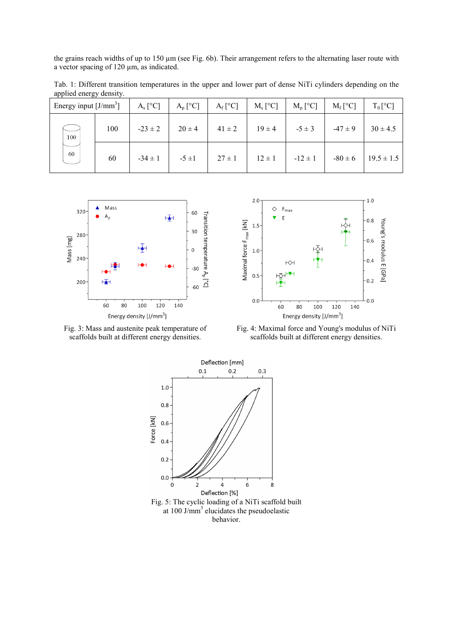the grains reach widths of up to 150 µm (see Fig. 6b). Their arrangement refers to the alternating laser route with a vector spacing of 120 µm, as indicated.

Tab. 1: Different transition temperatures in the upper and lower part of dense NiTi cylinders depending on the applied energy density.

| Energy input $[J/mm^3]$ |     | $A_s$ [ <sup>o</sup> C] | $A_p [^{\circ}C]$ | $A_f$ <sup>[°</sup> C] | $M_s$ [ <sup>o</sup> C] | $M_p [^{\circ}C]$ | $M_f$ <sup>[°</sup> C] | $T_0[^{\circ}C]$ |
|-------------------------|-----|-------------------------|-------------------|------------------------|-------------------------|-------------------|------------------------|------------------|
| 100<br>60               | 100 | $-23 \pm 2$             | $20 \pm 4$        | $41 \pm 2$             | $19 \pm 4$              | $-5 \pm 3$        | $-47 \pm 9$            | $30 \pm 4.5$     |
|                         | 60  | $-34 \pm 1$             | $-5 \pm 1$        | $27 \pm 1$             | $12 \pm 1$              | $-12 \pm 1$       | $-80 \pm 6$            | $19.5 \pm 1.5$   |



scaffolds built at different energy densities.



 Fig. 3: Mass and austenite peak temperature of Fig. 4: Maximal force and Young's modulus of NiTi scaffolds built at different energy densities.